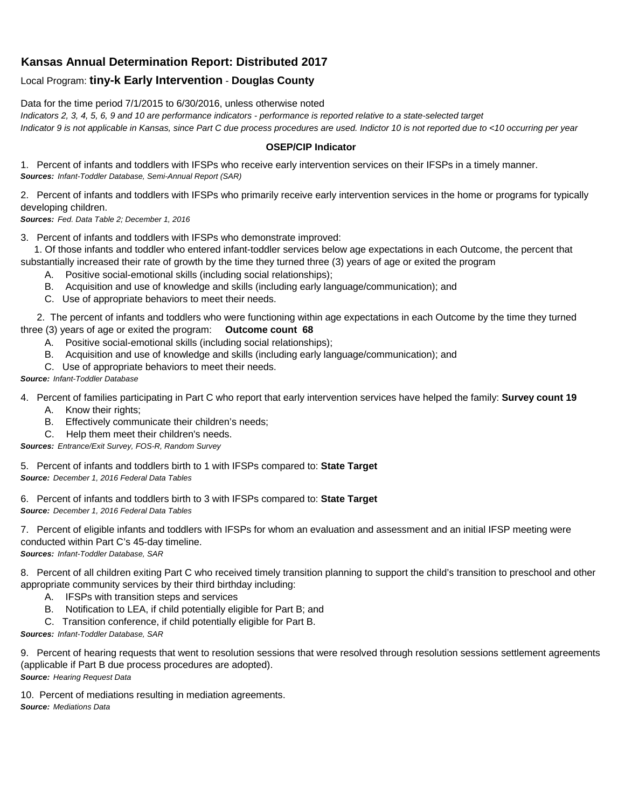## **Kansas Annual Determination Report: Distributed 2017**

## Local Program: **tiny-k Early Intervention** - **Douglas County**

Data for the time period 7/1/2015 to 6/30/2016, unless otherwise noted

*Indicators 2, 3, 4, 5, 6, 9 and 10 are performance indicators - performance is reported relative to a state-selected target*

*Indicator 9 is not applicable in Kansas, since Part C due process procedures are used. Indictor 10 is not reported due to <10 occurring per year*

## **OSEP/CIP Indicator**

1. Percent of infants and toddlers with IFSPs who receive early intervention services on their IFSPs in a timely manner. *Sources: Infant-Toddler Database, Semi-Annual Report (SAR)* 

2. Percent of infants and toddlers with IFSPs who primarily receive early intervention services in the home or programs for typically developing children.

*Sources: Fed. Data Table 2; December 1, 2016*

3. Percent of infants and toddlers with IFSPs who demonstrate improved:

 1. Of those infants and toddler who entered infant-toddler services below age expectations in each Outcome, the percent that substantially increased their rate of growth by the time they turned three (3) years of age or exited the program

- A. Positive social-emotional skills (including social relationships);
- B. Acquisition and use of knowledge and skills (including early language/communication); and
- C. Use of appropriate behaviors to meet their needs.

 2. The percent of infants and toddlers who were functioning within age expectations in each Outcome by the time they turned three (3) years of age or exited the program: **Outcome count 68**

- A. Positive social-emotional skills (including social relationships);
- B. Acquisition and use of knowledge and skills (including early language/communication); and
- C. Use of appropriate behaviors to meet their needs.

## *Source: Infant-Toddler Database*

4. Percent of families participating in Part C who report that early intervention services have helped the family: **Survey count 19**

- A. Know their rights;
- B. Effectively communicate their children's needs;
- C. Help them meet their children's needs.

*Sources: Entrance/Exit Survey, FOS-R, Random Survey*

5. Percent of infants and toddlers birth to 1 with IFSPs compared to: **State Target** *Source: December 1, 2016 Federal Data Tables*

6. Percent of infants and toddlers birth to 3 with IFSPs compared to: **State Target** *Source: December 1, 2016 Federal Data Tables*

7. Percent of eligible infants and toddlers with IFSPs for whom an evaluation and assessment and an initial IFSP meeting were conducted within Part C's 45-day timeline.

*Sources: Infant-Toddler Database, SAR*

8. Percent of all children exiting Part C who received timely transition planning to support the child's transition to preschool and other appropriate community services by their third birthday including:

- A. IFSPs with transition steps and services
- B. Notification to LEA, if child potentially eligible for Part B; and
- C. Transition conference, if child potentially eligible for Part B.

*Sources: Infant-Toddler Database, SAR*

9. Percent of hearing requests that went to resolution sessions that were resolved through resolution sessions settlement agreements (applicable if Part B due process procedures are adopted). *Source: Hearing Request Data*

10. Percent of mediations resulting in mediation agreements. *Source: Mediations Data*